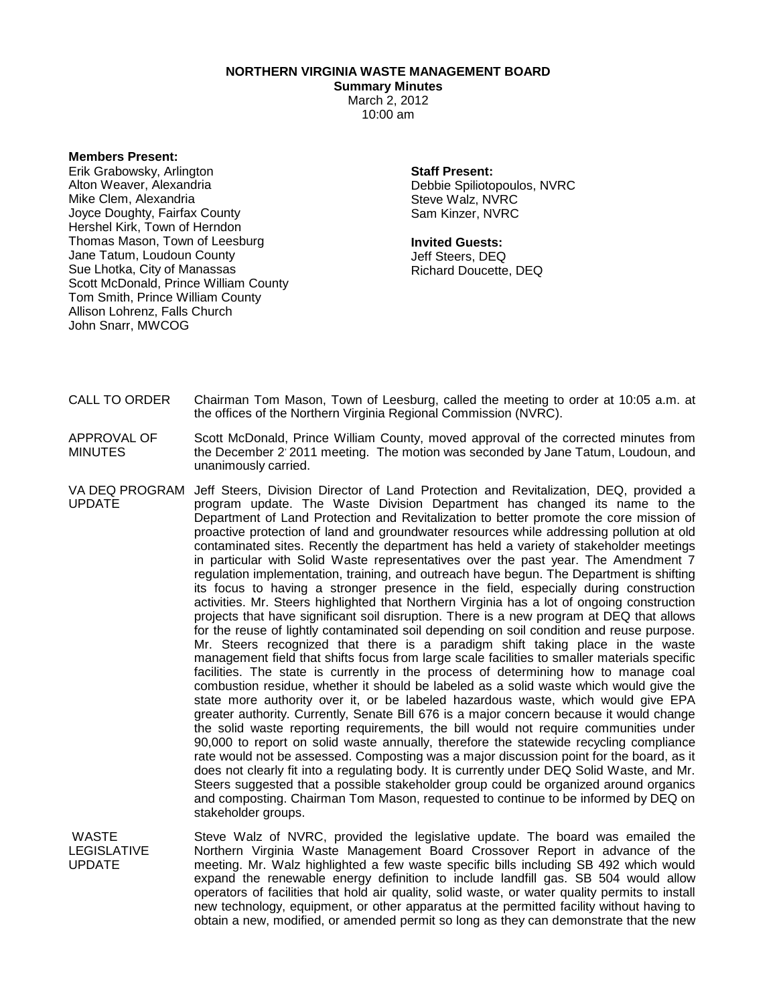**NORTHERN VIRGINIA WASTE MANAGEMENT BOARD**

**Summary Minutes** March 2, 2012 10:00 am

**Members Present:**

Erik Grabowsky, Arlington Alton Weaver, Alexandria Mike Clem, Alexandria Joyce Doughty, Fairfax County Hershel Kirk, Town of Herndon Thomas Mason, Town of Leesburg Jane Tatum, Loudoun County Sue Lhotka, City of Manassas Scott McDonald, Prince William County Tom Smith, Prince William County Allison Lohrenz, Falls Church John Snarr, MWCOG

**Staff Present:**

Debbie Spiliotopoulos, NVRC Steve Walz, NVRC Sam Kinzer, NVRC

**Invited Guests:**

Jeff Steers, DEQ Richard Doucette, DEQ

- CALL TO ORDER Chairman Tom Mason, Town of Leesburg, called the meeting to order at 10:05 a.m. at the offices of the Northern Virginia Regional Commission (NVRC).
- APPROVAL OF MINUTES Scott McDonald, Prince William County, moved approval of the corrected minutes from the December 2' 2011 meeting. The motion was seconded by Jane Tatum, Loudoun, and unanimously carried.
- VA DEQ PROGRAM Jeff Steers, Division Director of Land Protection and Revitalization, DEQ, provided a UPDATE program update. The Waste Division Department has changed its name to the Department of Land Protection and Revitalization to better promote the core mission of proactive protection of land and groundwater resources while addressing pollution at old contaminated sites. Recently the department has held a variety of stakeholder meetings in particular with Solid Waste representatives over the past year. The Amendment 7 regulation implementation, training, and outreach have begun. The Department is shifting its focus to having a stronger presence in the field, especially during construction activities. Mr. Steers highlighted that Northern Virginia has a lot of ongoing construction projects that have significant soil disruption. There is a new program at DEQ that allows for the reuse of lightly contaminated soil depending on soil condition and reuse purpose. Mr. Steers recognized that there is a paradigm shift taking place in the waste management field that shifts focus from large scale facilities to smaller materials specific facilities. The state is currently in the process of determining how to manage coal combustion residue, whether it should be labeled as a solid waste which would give the state more authority over it, or be labeled hazardous waste, which would give EPA greater authority. Currently, Senate Bill 676 is a major concern because it would change the solid waste reporting requirements, the bill would not require communities under 90,000 to report on solid waste annually, therefore the statewide recycling compliance rate would not be assessed. Composting was a major discussion point for the board, as it does not clearly fit into a regulating body. It is currently under DEQ Solid Waste, and Mr. Steers suggested that a possible stakeholder group could be organized around organics and composting. Chairman Tom Mason, requested to continue to be informed by DEQ on stakeholder groups.

WASTE LEGISLATIVE UPDATE Steve Walz of NVRC, provided the legislative update. The board was emailed the Northern Virginia Waste Management Board Crossover Report in advance of the meeting. Mr. Walz highlighted a few waste specific bills including SB 492 which would expand the renewable energy definition to include landfill gas. SB 504 would allow operators of facilities that hold air quality, solid waste, or water quality permits to install new technology, equipment, or other apparatus at the permitted facility without having to obtain a new, modified, or amended permit so long as they can demonstrate that the new